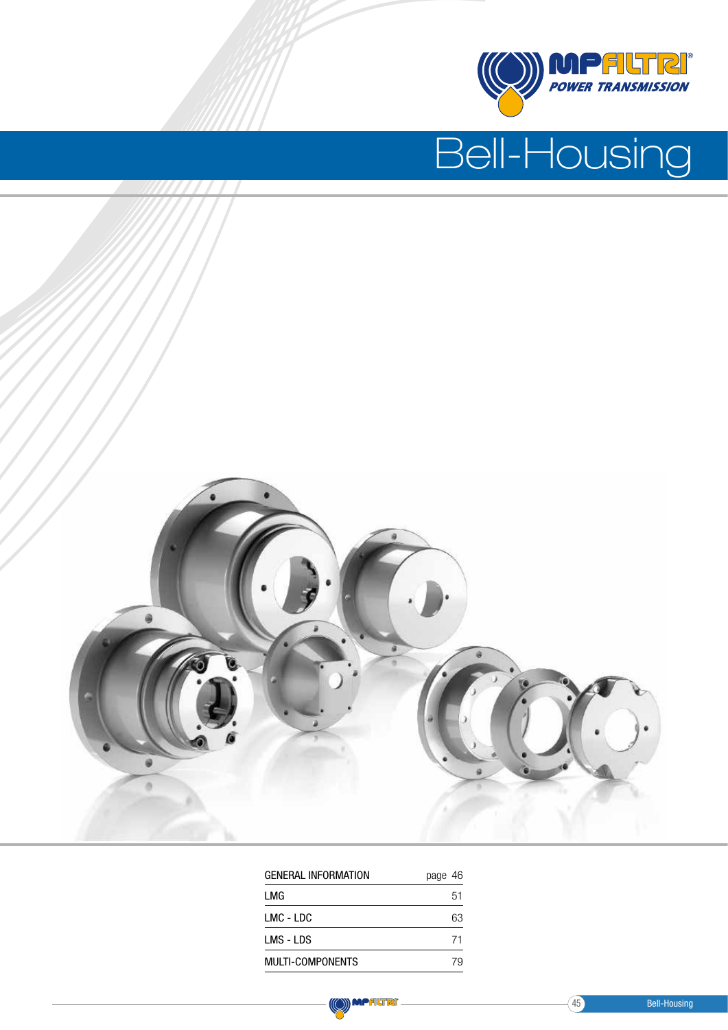

# Bell-Housing



| <b>GENERAL INFORMATION</b> | page 46 |
|----------------------------|---------|
| LMG                        | 51      |
| LMC - LDC                  | 63      |
| LMS - LDS                  | 71      |
| <b>MULTI-COMPONENTS</b>    | 79      |
|                            |         |

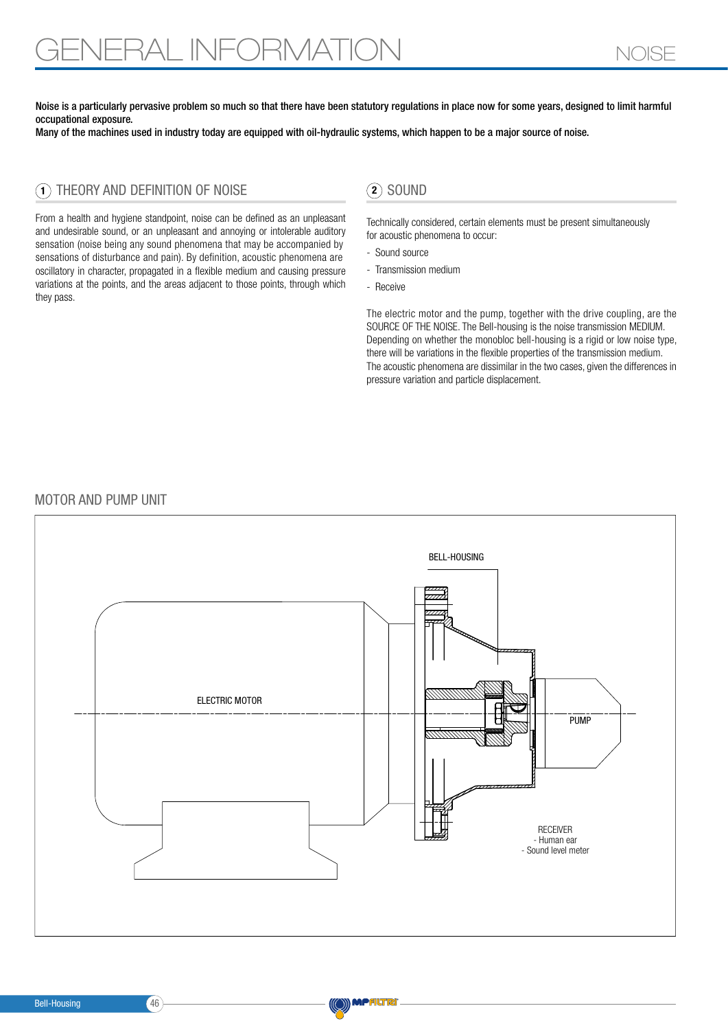Noise is a particularly pervasive problem so much so that there have been statutory regulations in place now for some years, designed to limit harmful occupational exposure.

Many of the machines used in industry today are equipped with oil-hydraulic systems, which happen to be a major source of noise.

# $\left( \mathbf{1} \right)$  THEORY AND DEFINITION OF NOISE  $\left( \mathbf{2} \right)$  sound

From a health and hygiene standpoint, noise can be defined as an unpleasant and undesirable sound, or an unpleasant and annoying or intolerable auditory sensation (noise being any sound phenomena that may be accompanied by sensations of disturbance and pain). By definition, acoustic phenomena are oscillatory in character, propagated in a flexible medium and causing pressure variations at the points, and the areas adjacent to those points, through which they pass.

 Technically considered, certain elements must be present simultaneously for acoustic phenomena to occur:

- Sound source
- Transmission medium
- Receive

The electric motor and the pump, together with the drive coupling, are the SOURCE OF THE NOISE. The Bell-housing is the noise transmission MEDIUM. Depending on whether the monobloc bell-housing is a rigid or low noise type, there will be variations in the flexible properties of the transmission medium. The acoustic phenomena are dissimilar in the two cases, given the differences in pressure variation and particle displacement.

#### MOTOR AND PUMP UNIT



**MPALTRI**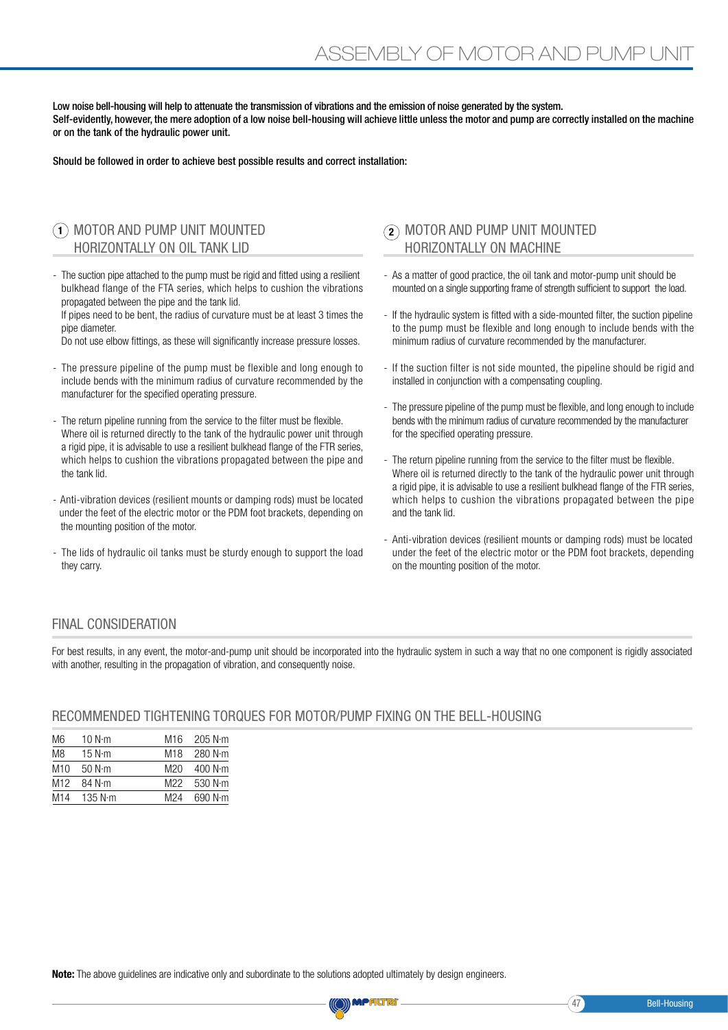Low noise bell-housing will help to attenuate the transmission of vibrations and the emission of noise generated by the system. Self-evidently, however, the mere adoption of a low noise bell-housing will achieve little unless the motor and pump are correctly installed on the machine or on the tank of the hydraulic power unit.

Should be followed in order to achieve best possible results and correct installation:

# MOTOR AND PUMP UNIT MOUNTED 1 HORIZONTALLY ON OIL TANK LID

- The suction pipe attached to the pump must be rigid and fitted using a resilient bulkhead flange of the FTA series, which helps to cushion the vibrations propagated between the pipe and the tank lid.

 If pipes need to be bent, the radius of curvature must be at least 3 times the pipe diameter.

Do not use elbow fittings, as these will significantly increase pressure losses.

- The pressure pipeline of the pump must be flexible and long enough to include bends with the minimum radius of curvature recommended by the manufacturer for the specified operating pressure.
- The return pipeline running from the service to the filter must be flexible. Where oil is returned directly to the tank of the hydraulic power unit through a rigid pipe, it is advisable to use a resilient bulkhead flange of the FTR series, which helps to cushion the vibrations propagated between the pipe and the tank lid.
- Anti-vibration devices (resilient mounts or damping rods) must be located under the feet of the electric motor or the PDM foot brackets, depending on the mounting position of the motor.
- The lids of hydraulic oil tanks must be sturdy enough to support the load they carry.

## $\mathbf{Q}$  MOTOR AND PUMP UNIT MOUNTED HORIZONTALLY ON MACHINE

- As a matter of good practice, the oil tank and motor-pump unit should be mounted on a single supporting frame of strength sufficient to support the load.
- If the hydraulic system is fitted with a side-mounted filter, the suction pipeline to the pump must be flexible and long enough to include bends with the minimum radius of curvature recommended by the manufacturer.
- If the suction filter is not side mounted, the pipeline should be rigid and installed in conjunction with a compensating coupling.
- The pressure pipeline of the pump must be flexible, and long enough to include bends with the minimum radius of curvature recommended by the manufacturer for the specified operating pressure.
- The return pipeline running from the service to the filter must be flexible. Where oil is returned directly to the tank of the hydraulic power unit through a rigid pipe, it is advisable to use a resilient bulkhead flange of the FTR series, which helps to cushion the vibrations propagated between the pipe and the tank lid.
- Anti-vibration devices (resilient mounts or damping rods) must be located under the feet of the electric motor or the PDM foot brackets, depending on the mounting position of the motor.

### FINAL CONSIDERATION

For best results, in any event, the motor-and-pump unit should be incorporated into the hydraulic system in such a way that no one component is rigidly associated with another, resulting in the propagation of vibration, and consequently noise.

#### RECOMMENDED TIGHTENING TORQUES FOR MOTOR/PUMP FIXING ON THE BELL-HOUSING

| M6              | 10 N·m          | M16             | 205 N $\cdot$ m |
|-----------------|-----------------|-----------------|-----------------|
| M8              | 15 N $\cdot$ m  | M18             | 280 N·m         |
| M10             | 50 N·m          | M20             | 400 N·m         |
| M <sub>12</sub> | 84 N·m          | M22             | 530 N $\cdot$ m |
| M14             | 135 $N \cdot m$ | M <sub>24</sub> | 690 N·m         |

Note: The above quidelines are indicative only and subordinate to the solutions adopted ultimately by design engineers.

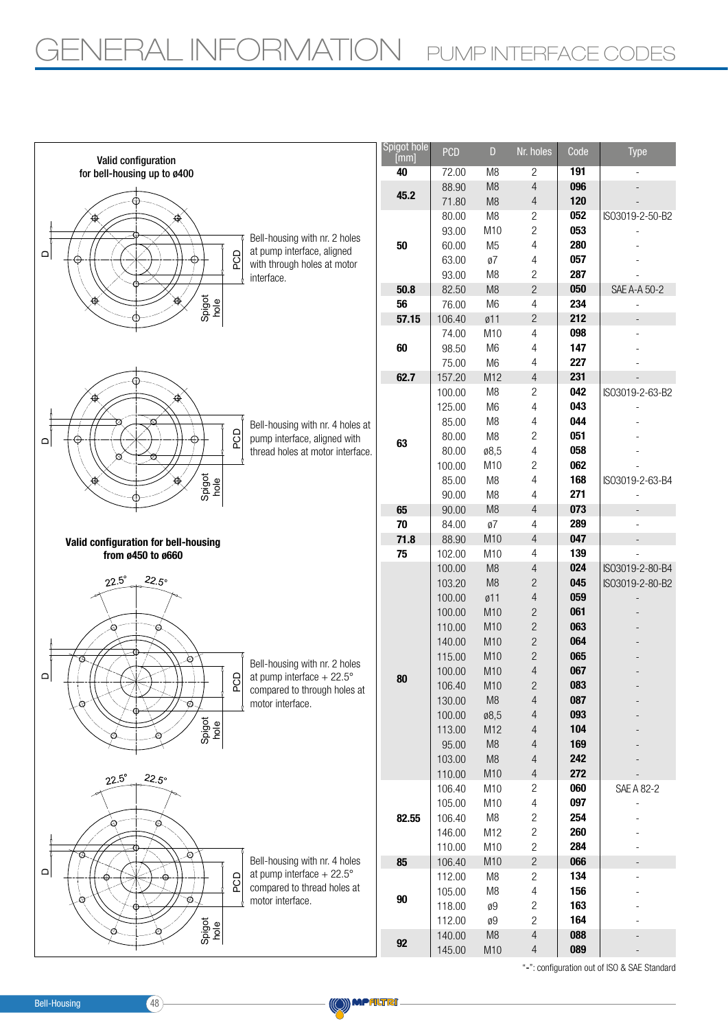

**MPALTRI** 

"-": configuration out of ISO & SAE Standard